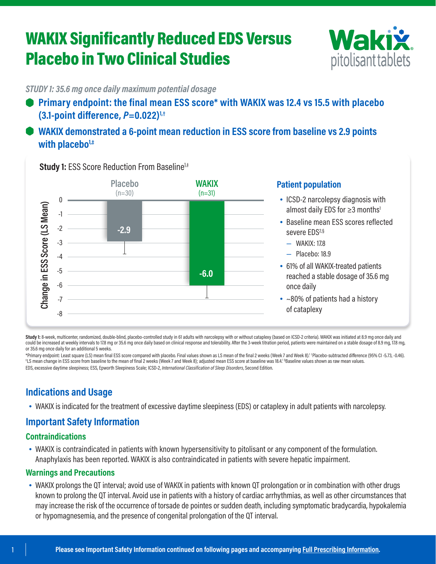# WAKIX Significantly Reduced EDS Versus Placebo in Two Clinical Studies



*STUDY 1: 35.6 mg once daily maximum potential dosage*

**Primary endpoint: the final mean ESS score\* with WAKIX was 12.4 vs 15.5 with placebo (3.1-point difference,** *P***=0.022)1,†**

# **WAKIX demonstrated a 6-point mean reduction in ESS score from baseline vs 2.9 points with placebo1,‡**



**Study 1: ESS Score Reduction From Baseline<sup>1,‡</sup>** 

#### **Patient population**

- ICSD-2 narcolepsy diagnosis with almost daily EDS for ≥3 months<sup>1</sup>
- Baseline mean ESS scores reflected severe EDS<sup>2,§</sup>
	- WAKIX: 17.8
	- Placebo: 18.9
- 61% of all WAKIX-treated patients reached a stable dosage of 35.6 mg once daily
- ~80% of patients had a history of cataplexy

Study 1: 8-week, multicenter, randomized, double-blind, placebo-controlled study in 61 adults with narcolepsy with or without cataplexy (based on ICSD-2 criteria). WAKIX was initiated at 8.9 mg once daily and could be increased at weekly intervals to 17.8 mg or 35.6 mg once daily based on clinical response and tolerability. After the 3-week titration period, patients were maintained on a stable dosage of 8.9 mg, 17.8 mg, or 35.6 mg once daily for an additional 5 weeks.

\*Primary endpoint: Least square (LS) mean final ESS score compared with placebo. Final values shown as LS mean of the final 2 weeks (Week 7 and Week 8).<sup>1 †</sup> Placebo-subtracted difference (95% CI -5.73, -0.46).<br>‡LS mean ch LS mean change in ESS score from baseline to the mean of final 2 weeks (Week 7 and Week 8); adjusted mean ESS score at baseline was 18.4.1 § Baseline values shown as raw mean values. EDS, excessive daytime sleepiness; ESS, Epworth Sleepiness Scale; ICSD-2, *International Classification of Sleep Disorders*, Second Edition.

# **Indications and Usage**

• WAKIX is indicated for the treatment of excessive daytime sleepiness (EDS) or cataplexy in adult patients with narcolepsy.

# **Important Safety Information**

### **Contraindications**

• WAKIX is contraindicated in patients with known hypersensitivity to pitolisant or any component of the formulation. Anaphylaxis has been reported. WAKIX is also contraindicated in patients with severe hepatic impairment.

#### **Warnings and Precautions**

• WAKIX prolongs the QT interval; avoid use of WAKIX in patients with known QT prolongation or in combination with other drugs known to prolong the QT interval. Avoid use in patients with a history of cardiac arrhythmias, as well as other circumstances that may increase the risk of the occurrence of torsade de pointes or sudden death, including symptomatic bradycardia, hypokalemia or hypomagnesemia, and the presence of congenital prolongation of the QT interval.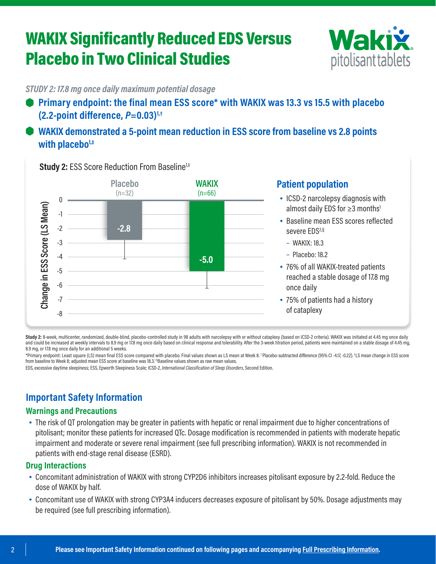# WAKIX Significantly Reduced EDS Versus Placebo in Two Clinical Studies



*STUDY 2: 17.8 mg once daily maximum potential dosage*

**Primary endpoint: the final mean ESS score\* with WAKIX was 13.3 vs 15.5 with placebo (2.2-point difference,** *P***=0.03)1,†**

# **WAKIX demonstrated a 5-point mean reduction in ESS score from baseline vs 2.8 points with placebo1,‡**

**Placebo WAKIX**  $(n=32)$  $(n=66)$  $\theta$ Change in ESS Score (LS Mean) **Change in ESS Score (LS Mean)** -1 -2 **-2.8** -3 -4 **-5.0** -5 -6 -7 -8

**Study 2: ESS Score Reduction From Baseline<sup>1,‡</sup>** 

### **Patient population**

- ICSD-2 narcolepsy diagnosis with almost daily EDS for ≥3 months<sup>1</sup>
- Baseline mean ESS scores reflected severe EDS<sup>2,§</sup>
	- WAKIX: 18.3
	- Placebo: 18.2
- 76% of all WAKIX-treated patients reached a stable dosage of 17.8 mg once daily
- 75% of patients had a history of cataplexy

**Study 2:** 8-week, multicenter, randomized, double-blind, placebo-controlled study in 98 adults with narcolepsy with or without cataplexy (based on ICSD-2 criteria). WAKIX was initiated at 4.45 mg once daily and could be increased at weekly intervals to 8.9 mg or 17.8 mg once daily based on clinical response and tolerability. After the 3-week titration period, patients were maintained on a stable dosage of 4.45 mg, 8.9 mg, or 17.8 mg once daily for an additional 5 weeks.

\*Primary endpoint: Least square (LS) mean final ESS score compared with placebo. Final values shown as LS mean at Week 8. † Placebo-subtracted difference (95% CI -4.17, -0.22). ‡ LS mean change in ESS score from baseline to Week 8; adjusted mean ESS score at baseline was 18.3.1 § Baseline values shown as raw mean values.

EDS, excessive daytime sleepiness; ESS, Epworth Sleepiness Scale; ICSD-2, *International Classification of Sleep Disorders*, Second Edition.

# **Important Safety Information**

### **Warnings and Precautions**

• The risk of QT prolongation may be greater in patients with hepatic or renal impairment due to higher concentrations of pitolisant; monitor these patients for increased QTc. Dosage modification is recommended in patients with moderate hepatic impairment and moderate or severe renal impairment (see full prescribing information). WAKIX is not recommended in patients with end-stage renal disease (ESRD).

#### **Drug Interactions**

- Concomitant administration of WAKIX with strong CYP2D6 inhibitors increases pitolisant exposure by 2.2-fold. Reduce the dose of WAKIX by half.
- Concomitant use of WAKIX with strong CYP3A4 inducers decreases exposure of pitolisant by 50%. Dosage adjustments may be required (see full prescribing information).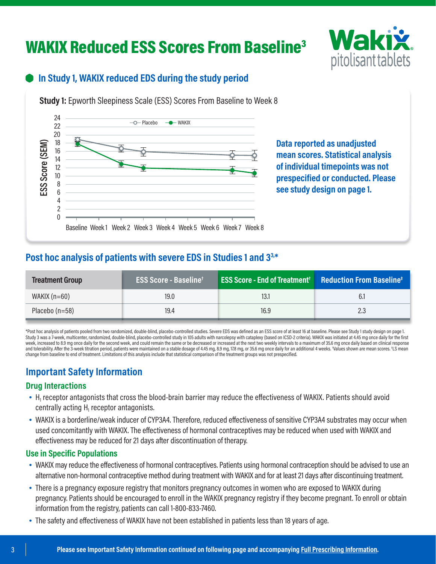# WAKIX Reduced ESS Scores From Baseline<sup>3</sup>



## **In Study 1, WAKIX reduced EDS during the study period**

**Study 1:** Epworth Sleepiness Scale (ESS) Scores From Baseline to Week 8



**Data reported as unadjusted mean scores. Statistical analysis of individual timepoints was not prespecified or conducted. Please see study design on page 1.**

## **Post hoc analysis of patients with severe EDS in Studies 1 and 33,\***

| <b>Treatment Group</b> | <b>ESS Score - Baseline</b> <sup>+</sup> | <b>ESS Score - End of Treatment<sup>†</sup> Reduction From Baseline<sup>‡</sup></b> |     |
|------------------------|------------------------------------------|-------------------------------------------------------------------------------------|-----|
| WAKIX $(n=60)$         | 19.0                                     | 13.                                                                                 |     |
| Placebo $(n=58)$       | 19.4                                     | 16.9                                                                                | 2.3 |

\*Post hoc analysis of patients pooled from two randomized, double-blind, placebo-controlled studies. Severe EDS was defined as an ESS score of at least 16 at baseline. Please see Study 1 study design on page 1. Study 3 was a 7-week, multicenter, randomized, double-blind, placebo-controlled study in 105 adults with narcolepsy with cataplexy (based on ICSD-2 criteria). WAKIX was initiated at 4.45 mg once daily for the first week, increased to 8.9 mg once daily for the second week, and could remain the same or be decreased or increased at the next two weekly intervals to a maximum of 35.6 mg once daily based on clinical response and tolerability. After the 3-week titration period, patients were maintained on a stable dosage of 4.45 mg, 8.9 mg, 17.8 mg, or 35.6 mg once daily for an additional 4 weeks. †Values shown are mean scores. ‡LS mean change from baseline to end of treatment. Limitations of this analysis include that statistical comparison of the treatment groups was not prespecified.

# **Important Safety Information**

### **Drug Interactions**

- $\bullet$  H<sub>1</sub> receptor antagonists that cross the blood-brain barrier may reduce the effectiveness of WAKIX. Patients should avoid centrally acting  $H_1$  receptor antagonists.
- WAKIX is a borderline/weak inducer of CYP3A4. Therefore, reduced effectiveness of sensitive CYP3A4 substrates may occur when used concomitantly with WAKIX. The effectiveness of hormonal contraceptives may be reduced when used with WAKIX and effectiveness may be reduced for 21 days after discontinuation of therapy.

#### **Use in Specific Populations**

- WAKIX may reduce the effectiveness of hormonal contraceptives. Patients using hormonal contraception should be advised to use an alternative non-hormonal contraceptive method during treatment with WAKIX and for at least 21 days after discontinuing treatment.
- There is a pregnancy exposure registry that monitors pregnancy outcomes in women who are exposed to WAKIX during pregnancy. Patients should be encouraged to enroll in the WAKIX pregnancy registry if they become pregnant. To enroll or obtain information from the registry, patients can call 1-800-833-7460.
- The safety and effectiveness of WAKIX have not been established in patients less than 18 years of age.